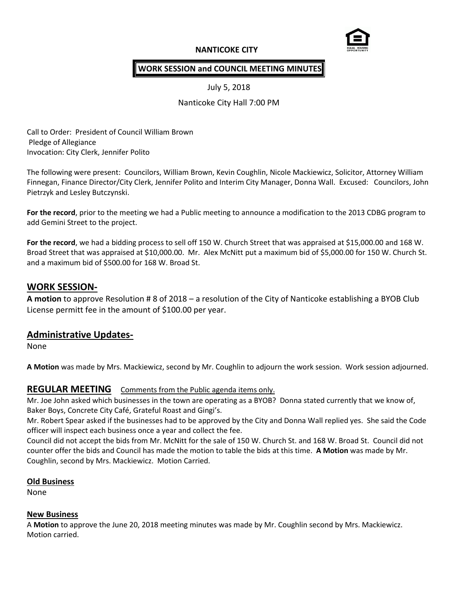# **NANTICOKE CITY**



## **WORK SESSION and COUNCIL MEETING MINUTES**

July 5, 2018

Nanticoke City Hall 7:00 PM

Call to Order: President of Council William Brown Pledge of Allegiance Invocation: City Clerk, Jennifer Polito

The following were present: Councilors, William Brown, Kevin Coughlin, Nicole Mackiewicz, Solicitor, Attorney William Finnegan, Finance Director/City Clerk, Jennifer Polito and Interim City Manager, Donna Wall. Excused: Councilors, John Pietrzyk and Lesley Butczynski.

**For the record**, prior to the meeting we had a Public meeting to announce a modification to the 2013 CDBG program to add Gemini Street to the project.

**For the record**, we had a bidding process to sell off 150 W. Church Street that was appraised at \$15,000.00 and 168 W. Broad Street that was appraised at \$10,000.00. Mr. Alex McNitt put a maximum bid of \$5,000.00 for 150 W. Church St. and a maximum bid of \$500.00 for 168 W. Broad St.

## **WORK SESSION-**

**A motion** to approve Resolution # 8 of 2018 – a resolution of the City of Nanticoke establishing a BYOB Club License permitt fee in the amount of \$100.00 per year.

# **Administrative Updates-**

None

**A Motion** was made by Mrs. Mackiewicz, second by Mr. Coughlin to adjourn the work session. Work session adjourned.

### **REGULAR MEETING** Comments from the Public agenda items only.

Mr. Joe John asked which businesses in the town are operating as a BYOB? Donna stated currently that we know of, Baker Boys, Concrete City Café, Grateful Roast and Gingi's.

Mr. Robert Spear asked if the businesses had to be approved by the City and Donna Wall replied yes. She said the Code officer will inspect each business once a year and collect the fee.

Council did not accept the bids from Mr. McNitt for the sale of 150 W. Church St. and 168 W. Broad St. Council did not counter offer the bids and Council has made the motion to table the bids at this time. **A Motion** was made by Mr. Coughlin, second by Mrs. Mackiewicz. Motion Carried.

#### **Old Business**

None

#### **New Business**

A **Motion** to approve the June 20, 2018 meeting minutes was made by Mr. Coughlin second by Mrs. Mackiewicz. Motion carried.